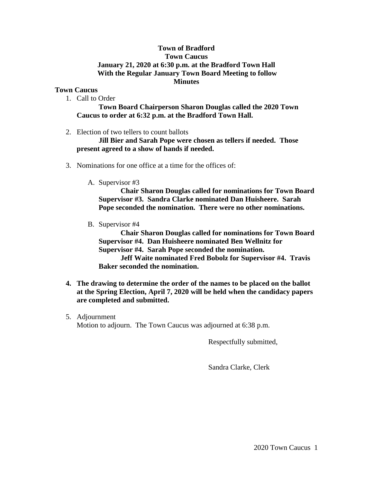## **Town of Bradford Town Caucus January 21, 2020 at 6:30 p.m. at the Bradford Town Hall With the Regular January Town Board Meeting to follow Minutes**

## **Town Caucus**

1. Call to Order

**Town Board Chairperson Sharon Douglas called the 2020 Town Caucus to order at 6:32 p.m. at the Bradford Town Hall.**

2. Election of two tellers to count ballots

**Jill Bier and Sarah Pope were chosen as tellers if needed. Those present agreed to a show of hands if needed.**

- 3. Nominations for one office at a time for the offices of:
	- A. Supervisor #3

**Chair Sharon Douglas called for nominations for Town Board Supervisor #3. Sandra Clarke nominated Dan Huisheere. Sarah Pope seconded the nomination. There were no other nominations.**

B. Supervisor #4

**Chair Sharon Douglas called for nominations for Town Board Supervisor #4. Dan Huisheere nominated Ben Wellnitz for Supervisor #4. Sarah Pope seconded the nomination.**

**Jeff Waite nominated Fred Bobolz for Supervisor #4. Travis Baker seconded the nomination.**

- **4. The drawing to determine the order of the names to be placed on the ballot at the Spring Election, April 7, 2020 will be held when the candidacy papers are completed and submitted.**
- 5. Adjournment Motion to adjourn. The Town Caucus was adjourned at 6:38 p.m.

Respectfully submitted,

Sandra Clarke, Clerk